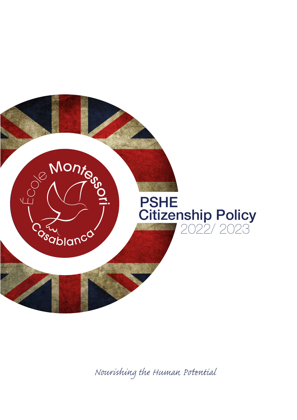

*Nourishing the Human Pential*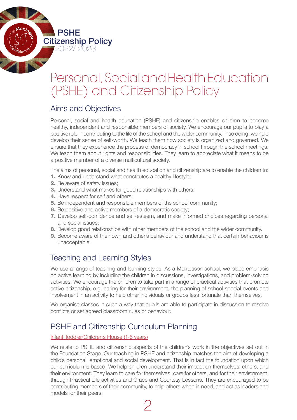PSHE **Citizenship Policy**<br>2022/2023

# Personal, Social and Health Education (PSHE) and Citizenship Policy

### Aims and Objectives

Personal, social and health education (PSHE) and citizenship enables children to become healthy, independent and responsible members of society. We encourage our pupils to play a positive role in contributing to the life of the school and the wider community. In so doing, we help develop their sense of self-worth. We teach them how society is organized and governed. We ensure that they experience the process of democracy in school through the school meetings. We teach them about rights and responsibilities. They learn to appreciate what it means to be a positive member of a diverse multicultural society.

The aims of personal, social and health education and citizenship are to enable the children to:

- 1. Know and understand what constitutes a healthy lifestyle;
- 2. Be aware of safety issues:
- **3.** Understand what makes for good relationships with others;
- 4. Have respect for self and others;
- 5. Be independent and responsible members of the school community;
- 6. Be positive and active members of a democratic society;
- 7. Develop self-confidence and self-esteem, and make informed choices regarding personal and social issues;
- 8. Develop good relationships with other members of the school and the wider community.
- 9. Become aware of their own and other's behaviour and understand that certain behaviour is unacceptable.

## Teaching and Learning Styles

We use a range of teaching and learning styles. As a Montessori school, we place emphasis on active learning by including the children in discussions, investigations, and problem-solving activities. We encourage the children to take part in a range of practical activities that promote active citizenship, e.g. caring for their environment, the planning of school special events and involvement in an activity to help other individuals or groups less fortunate than themselves.

We organise classes in such a way that pupils are able to participate in discussion to resolve conflicts or set agreed classroom rules or behaviour.

## PSHE and Citizenship Curriculum Planning

#### Infant Toddler/Children's House (1-6 years)

We relate to PSHE and citizenship aspects of the children's work in the objectives set out in the Foundation Stage. Our teaching in PSHE and citizenship matches the aim of developing a child's personal, emotional and social development. That is in fact the foundation upon which our curriculum is based. We help children understand their impact on themselves, others, and their environment. They learn to care for themselves, care for others, and for their environment, through Practical Life activities and Grace and Courtesy Lessons. They are encouraged to be contributing members of their community, to help others when in need, and act as leaders and models for their peers.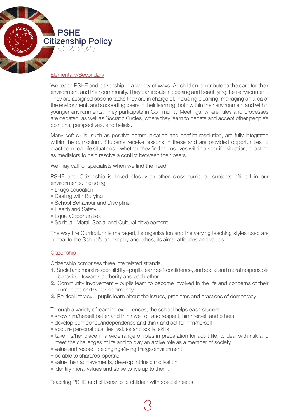

#### Elementary/Secondary

We teach PSHE and citizenship in a variety of ways. All children contribute to the care for their environment and their community. They participate in cooking and beautifying their environment. They are assigned specific tasks they are in charge of, including cleaning, managing an area of the environment, and supporting peers in their learning, both within their environment and within younger environments. They participate in Community Meetings, where rules and processes are debated, as well as Socratic Circles, where they learn to debate and accept other people's opinions, perspectives, and beliefs.

Many soft skills, such as positive communication and conflict resolution, are fully integrated within the curriculum. Students receive lessons in these and are provided opportunities to practice in real-life situations – whether they find themselves within a specific situation, or acting as mediators to help resolve a conflict between their peers.

We may call for specialists when we find the need.

PSHE and Citizenship is linked closely to other cross-curricular subjects offered in our environments, including:

- Drugs education
- Dealing with Bullying
- School Behaviour and Discipline
- Health and Safety
- Equal Opportunities
- Spiritual, Moral, Social and Cultural development

The way the Curriculum is managed, its organisation and the varying teaching styles used are central to the School's philosophy and ethos, its aims, attitudes and values.

#### **Citizenship**

Citizenship comprises three interrelated strands.

- 1. Social and moral responsibility –pupils learn self-confidence, and social and moral responsible behaviour towards authority and each other.
- 2. Community involvement pupils learn to become involved in the life and concerns of their immediate and wider community.
- 3. Political literacy pupils learn about the issues, problems and practices of democracy.

Through a variety of learning experiences, the school helps each student:

• know him/herself better and think well of, and respect, him/herself and others

3

- develop confidence/independence and think and act for him/herself
- acquire personal qualities, values and social skills
- take his/her place in a wide range of roles in preparation for adult life, to deal with risk and meet the challenges of life and to play an active role as a member of society
- value and respect belongings/living things/environment
- be able to share/co-operate
- value their achievements, develop intrinsic motivation
- identify moral values and strive to live up to them.

Teaching PSHE and citizenship to children with special needs